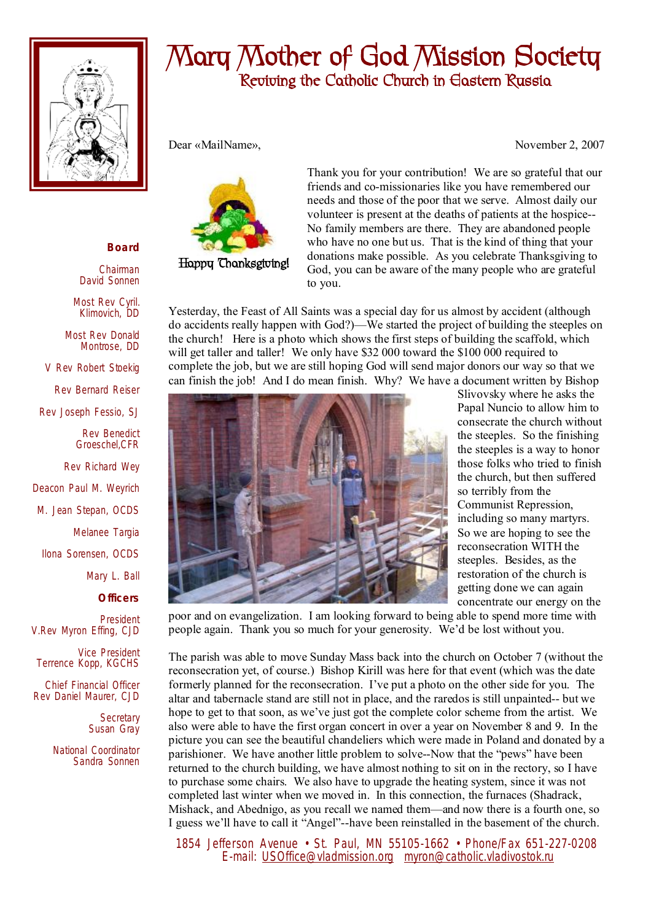

## **Mary Mother of God Mission Society Reviving the Catholic Church in Eastern Russia**

Dear «MailName», November 2, 2007



**Happy Thanksgiving!** 

Thank you for your contribution! We are so grateful that our friends and co-missionaries like you have remembered our needs and those of the poor that we serve. Almost daily our volunteer is present at the deaths of patients at the hospice-- No family members are there. They are abandoned people who have no one but us. That is the kind of thing that your donations make possible. As you celebrate Thanksgiving to God, you can be aware of the many people who are grateful to you.

Yesterday, the Feast of All Saints was a special day for us almost by accident (although do accidents really happen with God?)—We started the project of building the steeples on the church! Here is a photo which shows the first steps of building the scaffold, which will get taller and taller! We only have \$32 000 toward the \$100 000 required to complete the job, but we are still hoping God will send major donors our way so that we can finish the job! And I do mean finish. Why? We have a document written by Bishop



Slivovsky where he asks the Papal Nuncio to allow him to consecrate the church without the steeples. So the finishing the steeples is a way to honor those folks who tried to finish the church, but then suffered so terribly from the Communist Repression, including so many martyrs. So we are hoping to see the reconsecration WITH the steeples. Besides, as the restoration of the church is getting done we can again concentrate our energy on the

poor and on evangelization. I am looking forward to being able to spend more time with people again. Thank you so much for your generosity. We'd be lost without you.

The parish was able to move Sunday Mass back into the church on October 7 (without the reconsecration yet, of course.) Bishop Kirill was here for that event (which was the date formerly planned for the reconsecration. I've put a photo on the other side for you. The altar and tabernacle stand are still not in place, and the raredos is still unpainted-- but we hope to get to that soon, as we've just got the complete color scheme from the artist. We also were able to have the first organ concert in over a year on November 8 and 9. In the picture you can see the beautiful chandeliers which were made in Poland and donated by a parishioner. We have another little problem to solve--Now that the "pews" have been returned to the church building, we have almost nothing to sit on in the rectory, so I have to purchase some chairs. We also have to upgrade the heating system, since it was not completed last winter when we moved in. In this connection, the furnaces (Shadrack, Mishack, and Abednigo, as you recall we named them—and now there is a fourth one, so I guess we'll have to call it "Angel"--have been reinstalled in the basement of the church.

 1854 Jefferson Avenue • St. Paul, MN 55105-1662 • Phone/Fax 651-227-0208 E-mail: [USOffice@vladmission.org](mailto:USOffice@vladmission.org) [myron@catholic.vladivostok.ru](mailto:myron@catholic.vladivostok.ru)

## **Board**

Chairman David Sonnen

Most Rev Cyril. Klimovich, DD

Most Rev Donald Montrose, DD

V Rev Robert Stoekig

Rev Bernard Reiser

Rev Joseph Fessio, SJ

Rev Benedict Groeschel,CFR

Rev Richard Wey Deacon Paul M. Weyrich

M. Jean Stepan, OCDS

Melanee Targia

Ilona Sorensen, OCDS

Mary L. Ball

**Officers**

President V.Rev Myron Effing, CJD

Vice President Terrence Kopp, KGCHS

Chief Financial Officer Rev Daniel Maurer, CJD

> **Secretary** Susan Gray

National Coordinator Sandra Sonnen